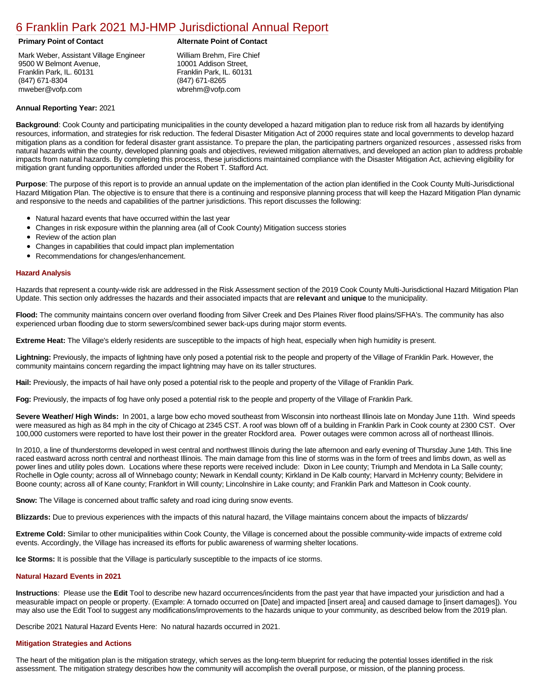## [6 Franklin Park 2021 MJ-HMP Jurisdictional Annual Report](https://franklinpark.isc-cemp.com/Cemp/Details?id=8322739)

Mark Weber, Assistant Village Engineer 9500 W Belmont Avenue, Franklin Park, IL. 60131 (847) 671-8304 mweber@vofp.com

#### **Primary Point of Contact Alternate Point of Contact**

William Brehm, Fire Chief 10001 Addison Street, Franklin Park, IL. 60131 (847) 671-8265 wbrehm@vofp.com

#### **Annual Reporting Year:** 2021

**Background**: Cook County and participating municipalities in the county developed a hazard mitigation plan to reduce risk from all hazards by identifying resources, information, and strategies for risk reduction. The federal Disaster Mitigation Act of 2000 requires state and local governments to develop hazard mitigation plans as a condition for federal disaster grant assistance. To prepare the plan, the participating partners organized resources , assessed risks from natural hazards within the county, developed planning goals and objectives, reviewed mitigation alternatives, and developed an action plan to address probable impacts from natural hazards. By completing this process, these jurisdictions maintained compliance with the Disaster Mitigation Act, achieving eligibility for mitigation grant funding opportunities afforded under the Robert T. Stafford Act.

**Purpose**: The purpose of this report is to provide an annual update on the implementation of the action plan identified in the Cook County Multi-Jurisdictional Hazard Mitigation Plan. The objective is to ensure that there is a continuing and responsive planning process that will keep the Hazard Mitigation Plan dynamic and responsive to the needs and capabilities of the partner jurisdictions. This report discusses the following:

- Natural hazard events that have occurred within the last year
- $\bullet$ Changes in risk exposure within the planning area (all of Cook County) Mitigation success stories
- Review of the action plan  $\bullet$
- $\bullet$ Changes in capabilities that could impact plan implementation
- Recommendations for changes/enhancement.

#### **Hazard Analysis**

Hazards that represent a county-wide risk are addressed in the Risk Assessment section of the 2019 Cook County Multi-Jurisdictional Hazard Mitigation Plan Update. This section only addresses the hazards and their associated impacts that are **relevant** and **unique** to the municipality.

**Flood:** The community maintains concern over overland flooding from Silver Creek and Des Plaines River flood plains/SFHA's. The community has also experienced urban flooding due to storm sewers/combined sewer back-ups during major storm events.

**Extreme Heat:** The Village's elderly residents are susceptible to the impacts of high heat, especially when high humidity is present.

**Lightning:** Previously, the impacts of lightning have only posed a potential risk to the people and property of the Village of Franklin Park. However, the community maintains concern regarding the impact lightning may have on its taller structures.

**Hail:** Previously, the impacts of hail have only posed a potential risk to the people and property of the Village of Franklin Park.

**Fog:** Previously, the impacts of fog have only posed a potential risk to the people and property of the Village of Franklin Park.

**Severe Weather/ High Winds:** In 2001, a large bow echo moved southeast from Wisconsin into northeast Illinois late on Monday June 11th. Wind speeds were measured as high as 84 mph in the city of Chicago at 2345 CST. A roof was blown off of a building in Franklin Park in Cook county at 2300 CST. Over 100,000 customers were reported to have lost their power in the greater Rockford area. Power outages were common across all of northeast Illinois.

In 2010, a line of thunderstorms developed in west central and northwest Illinois during the late afternoon and early evening of Thursday June 14th. This line raced eastward across north central and northeast Illinois. The main damage from this line of storms was in the form of trees and limbs down, as well as power lines and utility poles down. Locations where these reports were received include: Dixon in Lee county; Triumph and Mendota in La Salle county; Rochelle in Ogle county; across all of Winnebago county; Newark in Kendall county; Kirkland in De Kalb county; Harvard in McHenry county; Belvidere in Boone county; across all of Kane county; Frankfort in Will county; Lincolnshire in Lake county; and Franklin Park and Matteson in Cook county.

**Snow:** The Village is concerned about traffic safety and road icing during snow events.

**Blizzards:** Due to previous experiences with the impacts of this natural hazard, the Village maintains concern about the impacts of blizzards/

**Extreme Cold:** Similar to other municipalities within Cook County, the Village is concerned about the possible community-wide impacts of extreme cold events. Accordingly, the Village has increased its efforts for public awareness of warming shelter locations.

**Ice Storms:** It is possible that the Village is particularly susceptible to the impacts of ice storms.

#### **Natural Hazard Events in 2021**

**Instructions**: Please use the **Edit** Tool to describe new hazard occurrences/incidents from the past year that have impacted your jurisdiction and had a measurable impact on people or property. (Example: A tornado occurred on [Date] and impacted [insert area] and caused damage to [insert damages]). You may also use the Edit Tool to suggest any modifications/improvements to the hazards unique to your community, as described below from the 2019 plan.

Describe 2021 Natural Hazard Events Here: No natural hazards occurred in 2021.

#### **Mitigation Strategies and Actions**

The heart of the mitigation plan is the mitigation strategy, which serves as the long-term blueprint for reducing the potential losses identified in the risk assessment. The mitigation strategy describes how the community will accomplish the overall purpose, or mission, of the planning process.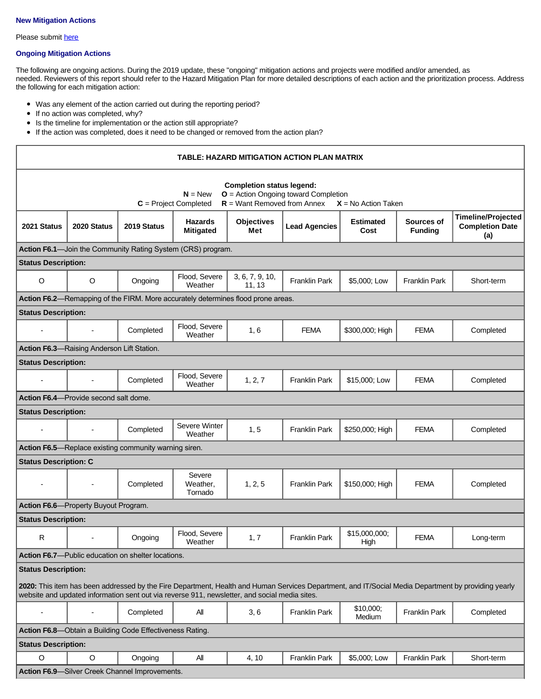#### **New Mitigation Actions**

Please submit [here](https://integratedsolutions.wufoo.com/forms/mg21jvf0jn639o/)

### **Ongoing Mitigation Actions**

The following are ongoing actions. During the 2019 update, these "ongoing" mitigation actions and projects were modified and/or amended, as needed. Reviewers of this report should refer to the Hazard Mitigation Plan for more detailed descriptions of each action and the prioritization process. Address the following for each mitigation action:

- Was any element of the action carried out during the reporting period?
- If no action was completed, why?
- Is the timeline for implementation or the action still appropriate?
- If the action was completed, does it need to be changed or removed from the action plan?

|                              |                                               |                                                               |                                      |                                                                                               | <b>TABLE: HAZARD MITIGATION ACTION PLAN MATRIX</b> |                          |                              |                                                                                                                                                     |
|------------------------------|-----------------------------------------------|---------------------------------------------------------------|--------------------------------------|-----------------------------------------------------------------------------------------------|----------------------------------------------------|--------------------------|------------------------------|-----------------------------------------------------------------------------------------------------------------------------------------------------|
|                              |                                               |                                                               | $N = New$<br>$C = Project Completed$ | <b>Completion status legend:</b><br>$R =$ Want Removed from Annex                             | $O =$ Action Ongoing toward Completion             | $X = No$ Action Taken    |                              |                                                                                                                                                     |
| 2021 Status                  | 2020 Status                                   | 2019 Status                                                   | <b>Hazards</b><br><b>Mitigated</b>   | <b>Objectives</b><br>Met                                                                      | <b>Lead Agencies</b>                               | <b>Estimated</b><br>Cost | Sources of<br><b>Funding</b> | <b>Timeline/Projected</b><br><b>Completion Date</b><br>(a)                                                                                          |
|                              |                                               | Action F6.1—Join the Community Rating System (CRS) program.   |                                      |                                                                                               |                                                    |                          |                              |                                                                                                                                                     |
| <b>Status Description:</b>   |                                               |                                                               |                                      |                                                                                               |                                                    |                          |                              |                                                                                                                                                     |
| O                            | $\circ$                                       | Ongoing                                                       | Flood, Severe<br>Weather             | 3, 6, 7, 9, 10,<br>11, 13                                                                     | <b>Franklin Park</b>                               | \$5,000; Low             | <b>Franklin Park</b>         | Short-term                                                                                                                                          |
|                              |                                               |                                                               |                                      | Action F6.2—Remapping of the FIRM. More accurately determines flood prone areas.              |                                                    |                          |                              |                                                                                                                                                     |
| <b>Status Description:</b>   |                                               |                                                               |                                      |                                                                                               |                                                    |                          |                              |                                                                                                                                                     |
|                              |                                               | Completed                                                     | Flood, Severe<br>Weather             | 1, 6                                                                                          | <b>FEMA</b>                                        | \$300,000; High          | <b>FEMA</b>                  | Completed                                                                                                                                           |
|                              | Action F6.3-Raising Anderson Lift Station.    |                                                               |                                      |                                                                                               |                                                    |                          |                              |                                                                                                                                                     |
| <b>Status Description:</b>   |                                               |                                                               |                                      |                                                                                               |                                                    |                          |                              |                                                                                                                                                     |
|                              | $\blacksquare$                                | Completed                                                     | Flood, Severe<br>Weather             | 1, 2, 7                                                                                       | <b>Franklin Park</b>                               | \$15,000; Low            | <b>FEMA</b>                  | Completed                                                                                                                                           |
|                              | <b>Action F6.4</b> —Provide second salt dome. |                                                               |                                      |                                                                                               |                                                    |                          |                              |                                                                                                                                                     |
| <b>Status Description:</b>   |                                               |                                                               |                                      |                                                                                               |                                                    |                          |                              |                                                                                                                                                     |
|                              | $\overline{\phantom{a}}$                      | Completed                                                     | Severe Winter<br>Weather             | 1, 5                                                                                          | <b>Franklin Park</b>                               | \$250,000; High          | <b>FEMA</b>                  | Completed                                                                                                                                           |
|                              |                                               | <b>Action F6.5</b> —Replace existing community warning siren. |                                      |                                                                                               |                                                    |                          |                              |                                                                                                                                                     |
| <b>Status Description: C</b> |                                               |                                                               |                                      |                                                                                               |                                                    |                          |                              |                                                                                                                                                     |
|                              | $\overline{\phantom{a}}$                      | Completed                                                     | Severe<br>Weather,<br>Tornado        | 1, 2, 5                                                                                       | <b>Franklin Park</b>                               | \$150,000; High          | <b>FEMA</b>                  | Completed                                                                                                                                           |
|                              | Action F6.6-Property Buyout Program.          |                                                               |                                      |                                                                                               |                                                    |                          |                              |                                                                                                                                                     |
| <b>Status Description:</b>   |                                               |                                                               |                                      |                                                                                               |                                                    |                          |                              |                                                                                                                                                     |
| R                            |                                               | Ongoing                                                       | Flood, Severe<br>Weather             | 1, 7                                                                                          | Franklin Park                                      | \$15,000,000:<br>High    | <b>FEMA</b>                  | Long-term                                                                                                                                           |
|                              |                                               | Action F6.7-Public education on shelter locations.            |                                      |                                                                                               |                                                    |                          |                              |                                                                                                                                                     |
| <b>Status Description:</b>   |                                               |                                                               |                                      |                                                                                               |                                                    |                          |                              |                                                                                                                                                     |
|                              |                                               |                                                               |                                      | website and updated information sent out via reverse 911, newsletter, and social media sites. |                                                    |                          |                              | 2020: This item has been addressed by the Fire Department, Health and Human Services Department, and IT/Social Media Department by providing yearly |
|                              |                                               | Completed                                                     | All                                  | 3, 6                                                                                          | <b>Franklin Park</b>                               | \$10,000;<br>Medium      | <b>Franklin Park</b>         | Completed                                                                                                                                           |
|                              |                                               | Action F6.8-Obtain a Building Code Effectiveness Rating.      |                                      |                                                                                               |                                                    |                          |                              |                                                                                                                                                     |
| <b>Status Description:</b>   |                                               |                                                               |                                      |                                                                                               |                                                    |                          |                              |                                                                                                                                                     |
| $\circ$                      | $\circ$                                       | Ongoing                                                       | All                                  | 4, 10                                                                                         | <b>Franklin Park</b>                               | \$5,000; Low             | <b>Franklin Park</b>         | Short-term                                                                                                                                          |
|                              |                                               | Action F6.9-Silver Creek Channel Improvements.                |                                      |                                                                                               |                                                    |                          |                              |                                                                                                                                                     |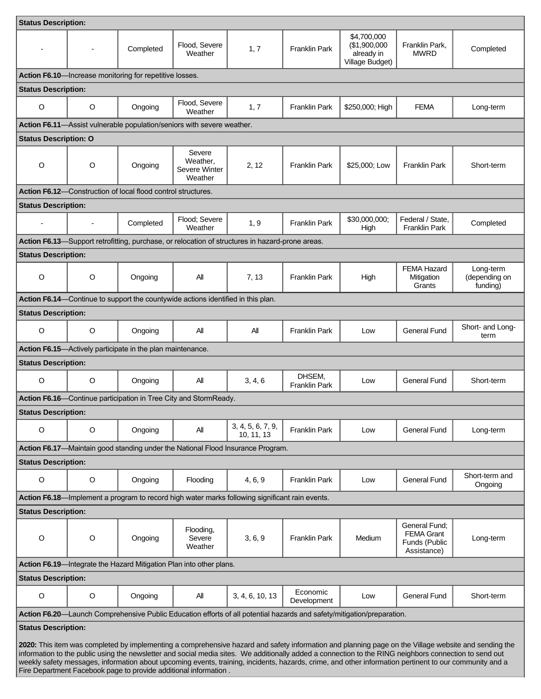| <b>Status Description:</b>   |                                                                  |                                                                                  |                                                |                                                                                                 |                                |                                                                                                                        |                                                                                                                                                                                                                                                                                                                  |                                                                                                                                                      |
|------------------------------|------------------------------------------------------------------|----------------------------------------------------------------------------------|------------------------------------------------|-------------------------------------------------------------------------------------------------|--------------------------------|------------------------------------------------------------------------------------------------------------------------|------------------------------------------------------------------------------------------------------------------------------------------------------------------------------------------------------------------------------------------------------------------------------------------------------------------|------------------------------------------------------------------------------------------------------------------------------------------------------|
|                              |                                                                  | Completed                                                                        | Flood, Severe<br>Weather                       | 1, 7                                                                                            | <b>Franklin Park</b>           | \$4,700,000<br>(\$1,900,000<br>already in<br>Village Budget)                                                           | Franklin Park,<br><b>MWRD</b>                                                                                                                                                                                                                                                                                    | Completed                                                                                                                                            |
|                              |                                                                  | <b>Action F6.10</b> -Increase monitoring for repetitive losses.                  |                                                |                                                                                                 |                                |                                                                                                                        |                                                                                                                                                                                                                                                                                                                  |                                                                                                                                                      |
| <b>Status Description:</b>   |                                                                  |                                                                                  |                                                |                                                                                                 |                                |                                                                                                                        |                                                                                                                                                                                                                                                                                                                  |                                                                                                                                                      |
| O                            | $\circ$                                                          | Ongoing                                                                          | Flood, Severe<br>Weather                       | 1, 7                                                                                            | <b>Franklin Park</b>           | \$250,000; High                                                                                                        | <b>FEMA</b>                                                                                                                                                                                                                                                                                                      | Long-term                                                                                                                                            |
|                              |                                                                  | Action F6.11-Assist vulnerable population/seniors with severe weather.           |                                                |                                                                                                 |                                |                                                                                                                        |                                                                                                                                                                                                                                                                                                                  |                                                                                                                                                      |
| <b>Status Description: O</b> |                                                                  |                                                                                  |                                                |                                                                                                 |                                |                                                                                                                        |                                                                                                                                                                                                                                                                                                                  |                                                                                                                                                      |
| O                            | $\circ$                                                          | Ongoing                                                                          | Severe<br>Weather,<br>Severe Winter<br>Weather | 2, 12                                                                                           | <b>Franklin Park</b>           | \$25,000; Low                                                                                                          | <b>Franklin Park</b>                                                                                                                                                                                                                                                                                             | Short-term                                                                                                                                           |
|                              |                                                                  | <b>Action F6.12</b> —Construction of local flood control structures.             |                                                |                                                                                                 |                                |                                                                                                                        |                                                                                                                                                                                                                                                                                                                  |                                                                                                                                                      |
| <b>Status Description:</b>   |                                                                  |                                                                                  |                                                |                                                                                                 |                                |                                                                                                                        |                                                                                                                                                                                                                                                                                                                  |                                                                                                                                                      |
|                              | $\overline{\phantom{a}}$                                         | Completed                                                                        | Flood; Severe<br>Weather                       | 1, 9                                                                                            | <b>Franklin Park</b>           | \$30,000,000;<br>High                                                                                                  | Federal / State.<br><b>Franklin Park</b>                                                                                                                                                                                                                                                                         | Completed                                                                                                                                            |
|                              |                                                                  |                                                                                  |                                                | Action F6.13—Support retrofitting, purchase, or relocation of structures in hazard-prone areas. |                                |                                                                                                                        |                                                                                                                                                                                                                                                                                                                  |                                                                                                                                                      |
| <b>Status Description:</b>   |                                                                  |                                                                                  |                                                |                                                                                                 |                                |                                                                                                                        |                                                                                                                                                                                                                                                                                                                  |                                                                                                                                                      |
| $\circ$                      | $\circ$                                                          | Ongoing                                                                          | All                                            | 7, 13                                                                                           | <b>Franklin Park</b>           | High                                                                                                                   | <b>FEMA Hazard</b><br>Mitigation<br>Grants                                                                                                                                                                                                                                                                       | Long-term<br>(depending on<br>funding)                                                                                                               |
|                              |                                                                  | Action F6.14—Continue to support the countywide actions identified in this plan. |                                                |                                                                                                 |                                |                                                                                                                        |                                                                                                                                                                                                                                                                                                                  |                                                                                                                                                      |
| <b>Status Description:</b>   |                                                                  |                                                                                  |                                                |                                                                                                 |                                |                                                                                                                        |                                                                                                                                                                                                                                                                                                                  |                                                                                                                                                      |
| $\circ$                      | $\circ$                                                          | Ongoing                                                                          | All                                            | All                                                                                             | <b>Franklin Park</b>           | Low                                                                                                                    | <b>General Fund</b>                                                                                                                                                                                                                                                                                              | Short- and Long-<br>term                                                                                                                             |
|                              |                                                                  | Action F6.15—Actively participate in the plan maintenance.                       |                                                |                                                                                                 |                                |                                                                                                                        |                                                                                                                                                                                                                                                                                                                  |                                                                                                                                                      |
| <b>Status Description:</b>   |                                                                  |                                                                                  |                                                |                                                                                                 |                                |                                                                                                                        |                                                                                                                                                                                                                                                                                                                  |                                                                                                                                                      |
| O                            | O                                                                | Ongoing                                                                          | All                                            | 3, 4, 6                                                                                         | DHSEM,<br><b>Franklin Park</b> | Low                                                                                                                    | <b>General Fund</b>                                                                                                                                                                                                                                                                                              | Short-term                                                                                                                                           |
|                              | Action F6.16—Continue participation in Tree City and StormReady. |                                                                                  |                                                |                                                                                                 |                                |                                                                                                                        |                                                                                                                                                                                                                                                                                                                  |                                                                                                                                                      |
| <b>Status Description:</b>   |                                                                  |                                                                                  |                                                |                                                                                                 |                                |                                                                                                                        |                                                                                                                                                                                                                                                                                                                  |                                                                                                                                                      |
| O                            | $\circ$                                                          | Ongoing                                                                          | All                                            | 3, 4, 5, 6, 7, 9,<br>10, 11, 13                                                                 | <b>Franklin Park</b>           | Low                                                                                                                    | <b>General Fund</b>                                                                                                                                                                                                                                                                                              | Long-term                                                                                                                                            |
|                              |                                                                  |                                                                                  |                                                | Action F6.17-Maintain good standing under the National Flood Insurance Program.                 |                                |                                                                                                                        |                                                                                                                                                                                                                                                                                                                  |                                                                                                                                                      |
| <b>Status Description:</b>   |                                                                  |                                                                                  |                                                |                                                                                                 |                                |                                                                                                                        |                                                                                                                                                                                                                                                                                                                  |                                                                                                                                                      |
| O                            | $\circ$                                                          | Ongoing                                                                          | Flooding                                       | 4, 6, 9                                                                                         | <b>Franklin Park</b>           | Low                                                                                                                    | <b>General Fund</b>                                                                                                                                                                                                                                                                                              | Short-term and<br>Ongoing                                                                                                                            |
|                              |                                                                  |                                                                                  |                                                | Action F6.18—Implement a program to record high water marks following significant rain events.  |                                |                                                                                                                        |                                                                                                                                                                                                                                                                                                                  |                                                                                                                                                      |
| <b>Status Description:</b>   |                                                                  |                                                                                  |                                                |                                                                                                 |                                |                                                                                                                        |                                                                                                                                                                                                                                                                                                                  |                                                                                                                                                      |
| O                            | $\circ$                                                          | Ongoing                                                                          | Flooding,<br>Severe<br>Weather                 | 3, 6, 9                                                                                         | <b>Franklin Park</b>           | Medium                                                                                                                 | General Fund;<br><b>FEMA Grant</b><br>Funds (Public<br>Assistance)                                                                                                                                                                                                                                               | Long-term                                                                                                                                            |
|                              |                                                                  | Action F6.19-Integrate the Hazard Mitigation Plan into other plans.              |                                                |                                                                                                 |                                |                                                                                                                        |                                                                                                                                                                                                                                                                                                                  |                                                                                                                                                      |
| <b>Status Description:</b>   |                                                                  |                                                                                  |                                                |                                                                                                 |                                |                                                                                                                        |                                                                                                                                                                                                                                                                                                                  |                                                                                                                                                      |
| O                            | $\circ$                                                          | Ongoing                                                                          | All                                            | 3, 4, 6, 10, 13                                                                                 | Economic<br>Development        | Low                                                                                                                    | <b>General Fund</b>                                                                                                                                                                                                                                                                                              | Short-term                                                                                                                                           |
|                              |                                                                  |                                                                                  |                                                |                                                                                                 |                                | Action F6.20—Launch Comprehensive Public Education efforts of all potential hazards and safety/mitigation/preparation. |                                                                                                                                                                                                                                                                                                                  |                                                                                                                                                      |
| <b>Status Description:</b>   |                                                                  | Fire Department Facebook page to provide additional information.                 |                                                |                                                                                                 |                                |                                                                                                                        | information to the public using the newsletter and social media sites. We additionally added a connection to the RING neighbors connection to send out<br>weekly safety messages, information about upcoming events, training, incidents, hazards, crime, and other information pertinent to our community and a | 2020: This item was completed by implementing a comprehensive hazard and safety information and planning page on the Village website and sending the |

|  |  |  |  |  | Fire Department Facebook page to provide additional information. |
|--|--|--|--|--|------------------------------------------------------------------|
|--|--|--|--|--|------------------------------------------------------------------|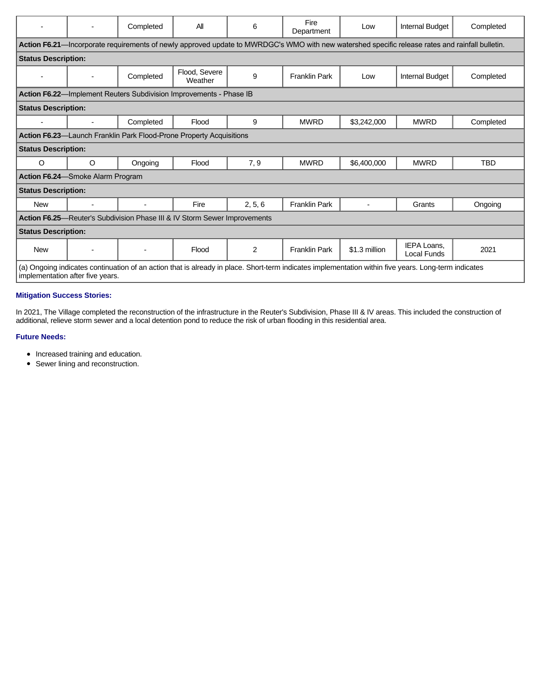|                                                                                                                                                                                          | $\overline{a}$                                                            | Completed                                                           | All                      | 6              | Fire<br>Department                                                                                                                              | Low           | <b>Internal Budget</b>                   | Completed |
|------------------------------------------------------------------------------------------------------------------------------------------------------------------------------------------|---------------------------------------------------------------------------|---------------------------------------------------------------------|--------------------------|----------------|-------------------------------------------------------------------------------------------------------------------------------------------------|---------------|------------------------------------------|-----------|
|                                                                                                                                                                                          |                                                                           |                                                                     |                          |                | Action F6.21—Incorporate requirements of newly approved update to MWRDGC's WMO with new watershed specific release rates and rainfall bulletin. |               |                                          |           |
| <b>Status Description:</b>                                                                                                                                                               |                                                                           |                                                                     |                          |                |                                                                                                                                                 |               |                                          |           |
|                                                                                                                                                                                          |                                                                           | Completed                                                           | Flood, Severe<br>Weather | 9              | <b>Franklin Park</b>                                                                                                                            | Low           | Internal Budget                          | Completed |
|                                                                                                                                                                                          |                                                                           | Action F6.22-Implement Reuters Subdivision Improvements - Phase IB  |                          |                |                                                                                                                                                 |               |                                          |           |
| <b>Status Description:</b>                                                                                                                                                               |                                                                           |                                                                     |                          |                |                                                                                                                                                 |               |                                          |           |
|                                                                                                                                                                                          | $\blacksquare$                                                            | Completed                                                           | Flood                    | 9              | <b>MWRD</b>                                                                                                                                     | \$3,242,000   | <b>MWRD</b>                              | Completed |
|                                                                                                                                                                                          |                                                                           | Action F6.23-Launch Franklin Park Flood-Prone Property Acquisitions |                          |                |                                                                                                                                                 |               |                                          |           |
| <b>Status Description:</b>                                                                                                                                                               |                                                                           |                                                                     |                          |                |                                                                                                                                                 |               |                                          |           |
| $\circ$                                                                                                                                                                                  | O                                                                         | Ongoing                                                             | Flood                    | 7.9            | <b>MWRD</b>                                                                                                                                     | \$6,400,000   | <b>MWRD</b>                              | TBD       |
|                                                                                                                                                                                          | Action F6.24-Smoke Alarm Program                                          |                                                                     |                          |                |                                                                                                                                                 |               |                                          |           |
| <b>Status Description:</b>                                                                                                                                                               |                                                                           |                                                                     |                          |                |                                                                                                                                                 |               |                                          |           |
| <b>New</b>                                                                                                                                                                               | $\blacksquare$                                                            |                                                                     | Fire                     | 2, 5, 6        | <b>Franklin Park</b>                                                                                                                            |               | Grants                                   | Ongoing   |
|                                                                                                                                                                                          | Action F6.25-Reuter's Subdivision Phase III & IV Storm Sewer Improvements |                                                                     |                          |                |                                                                                                                                                 |               |                                          |           |
| <b>Status Description:</b>                                                                                                                                                               |                                                                           |                                                                     |                          |                |                                                                                                                                                 |               |                                          |           |
| <b>New</b>                                                                                                                                                                               |                                                                           |                                                                     | Flood                    | $\overline{2}$ | <b>Franklin Park</b>                                                                                                                            | \$1.3 million | <b>IEPA Loans.</b><br><b>Local Funds</b> | 2021      |
| (a) Ongoing indicates continuation of an action that is already in place. Short-term indicates implementation within five years. Long-term indicates<br>implementation after five years. |                                                                           |                                                                     |                          |                |                                                                                                                                                 |               |                                          |           |

### **Mitigation Success Stories:**

In 2021, The Village completed the reconstruction of the infrastructure in the Reuter's Subdivision, Phase III & IV areas. This included the construction of additional, relieve storm sewer and a local detention pond to reduce the risk of urban flooding in this residential area.

### **Future Needs:**

- Increased training and education.
- Sewer lining and reconstruction.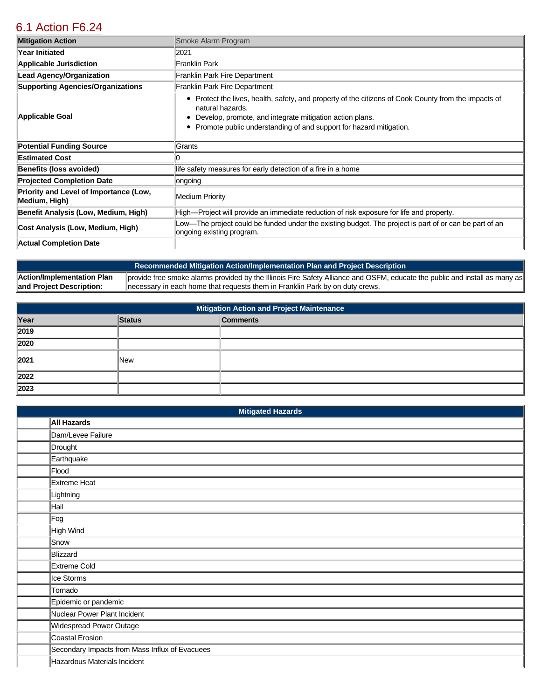# [6.1 Action F6.24](https://franklinpark.isc-cemp.com/Cemp/Details?id=8334878)

| <b>Mitigation Action</b>                                | Smoke Alarm Program                                                                                                                                                                                                                                           |
|---------------------------------------------------------|---------------------------------------------------------------------------------------------------------------------------------------------------------------------------------------------------------------------------------------------------------------|
| Year Initiated                                          | 2021                                                                                                                                                                                                                                                          |
| <b>Applicable Jurisdiction</b>                          | <b>Franklin Park</b>                                                                                                                                                                                                                                          |
| <b>Lead Agency/Organization</b>                         | Franklin Park Fire Department                                                                                                                                                                                                                                 |
| <b>Supporting Agencies/Organizations</b>                | <b>Franklin Park Fire Department</b>                                                                                                                                                                                                                          |
| Applicable Goal                                         | Protect the lives, health, safety, and property of the citizens of Cook County from the impacts of<br>٠<br>natural hazards.<br>Develop, promote, and integrate mitigation action plans.<br>Promote public understanding of and support for hazard mitigation. |
| <b>Potential Funding Source</b>                         | Grants                                                                                                                                                                                                                                                        |
| <b>Estimated Cost</b>                                   |                                                                                                                                                                                                                                                               |
| <b>Benefits (loss avoided)</b>                          | life safety measures for early detection of a fire in a home                                                                                                                                                                                                  |
| <b>Projected Completion Date</b>                        | ongoing                                                                                                                                                                                                                                                       |
| Priority and Level of Importance (Low,<br>Medium, High) | <b>Medium Priority</b>                                                                                                                                                                                                                                        |
| Benefit Analysis (Low, Medium, High)                    | High—Project will provide an immediate reduction of risk exposure for life and property.                                                                                                                                                                      |
| Cost Analysis (Low, Medium, High)                       | Low—The project could be funded under the existing budget. The project is part of or can be part of an<br>ongoing existing program.                                                                                                                           |
| <b>Actual Completion Date</b>                           |                                                                                                                                                                                                                                                               |

**Recommended Mitigation Action/Implementation Plan and Project Description Action/Implementation Plan and Project Description:**  provide free smoke alarms provided by the Illinois Fire Safety Alliance and OSFM, educate the public and install as many as necessary in each home that requests them in Franklin Park by on duty crews.

| <b>Mitigation Action and Project Maintenance</b> |               |                 |  |  |
|--------------------------------------------------|---------------|-----------------|--|--|
| Year                                             | <b>Status</b> | <b>Comments</b> |  |  |
| 2019                                             |               |                 |  |  |
| 2020                                             |               |                 |  |  |
| $\vert$ 2021                                     | New           |                 |  |  |
| 2022                                             |               |                 |  |  |
| 2023                                             |               |                 |  |  |

| <b>Mitigated Hazards</b>                       |  |  |  |  |
|------------------------------------------------|--|--|--|--|
| All Hazards                                    |  |  |  |  |
| Dam/Levee Failure                              |  |  |  |  |
| Drought                                        |  |  |  |  |
| Earthquake                                     |  |  |  |  |
| Flood                                          |  |  |  |  |
| Extreme Heat                                   |  |  |  |  |
| Lightning                                      |  |  |  |  |
| Hail                                           |  |  |  |  |
| ∣Fog                                           |  |  |  |  |
| High Wind                                      |  |  |  |  |
| Snow                                           |  |  |  |  |
| Blizzard                                       |  |  |  |  |
| Extreme Cold                                   |  |  |  |  |
| Ice Storms                                     |  |  |  |  |
| Tornado                                        |  |  |  |  |
| Epidemic or pandemic                           |  |  |  |  |
| Nuclear Power Plant Incident                   |  |  |  |  |
| Widespread Power Outage                        |  |  |  |  |
| Coastal Erosion                                |  |  |  |  |
| Secondary Impacts from Mass Influx of Evacuees |  |  |  |  |
| Hazardous Materials Incident                   |  |  |  |  |